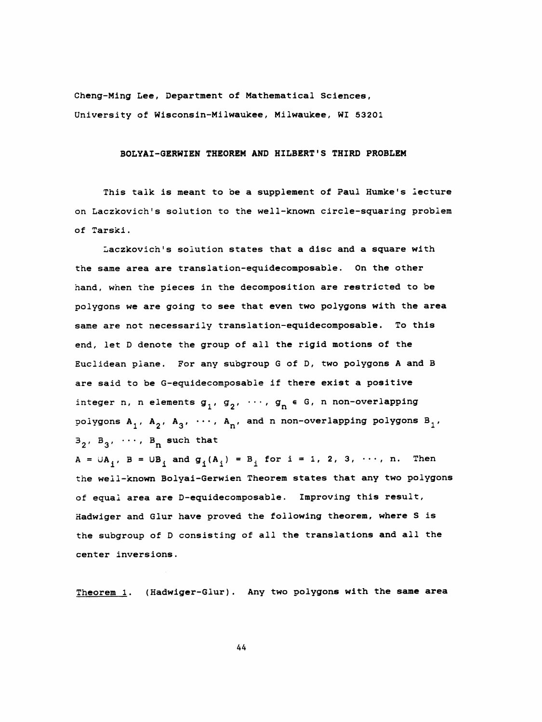Cheng-Ming Lee, Department of Mathematical Sciences, University of Wisconsin-Milwaukee, Milwaukee, WI 53201

## BOLYAI-GERWIEN THEOREM AND HILBERT' S THIRD PROBLEM

 This talk is meant to be a supplement of Paul Humke's lecture on Laczkovich's solution to tne well-known circle-squaring problem of Tarski .

 Laczkovich's solution states that a disc and a square with the same area are translation-equidecomposable. On the other nand, when the pieces in the decomposition are restricted to be polygons we are going to see that even two polygons with the area same are not necessarily translation-equidecomposable. To this end, let D denote the group of all the rigid motions of the Euclidean plane. For any subgroup G of D, two polygons A and B are said to be G-equidecomposable if there exist a positive integer n, n elements  $g_1, g_2, \cdots, g_n \in G$ , n non-overlapping polygons  $A_1$ ,  $A_2$ ,  $A_3$ ,  $\cdots$ ,  $A_n$ , and n non-overlapping polygons  $B_1$ ,  $B_2$ ,  $B_3$ ,  $\cdots$ ,  $B_n$  such that  $A = \bigcup_{i} A_{i}$ ,  $B = \bigcup_{i} B_{i}$  and  $g_{i}(A_{i}) = B_{i}$  for  $i = 1, 2, 3, \cdots$ , n. Then the weil-known Bolyai-Gerwien Theorem states that any two polygons of equal area are D-equidecomposable. Improving this result, Hadwiger and Glur have proved the following theorem, where S is the subgroup of D consisting of all the translations and all the center inversions.

Theorem 1. (Hadwiger-Glur). Any two polygons with the same area

A4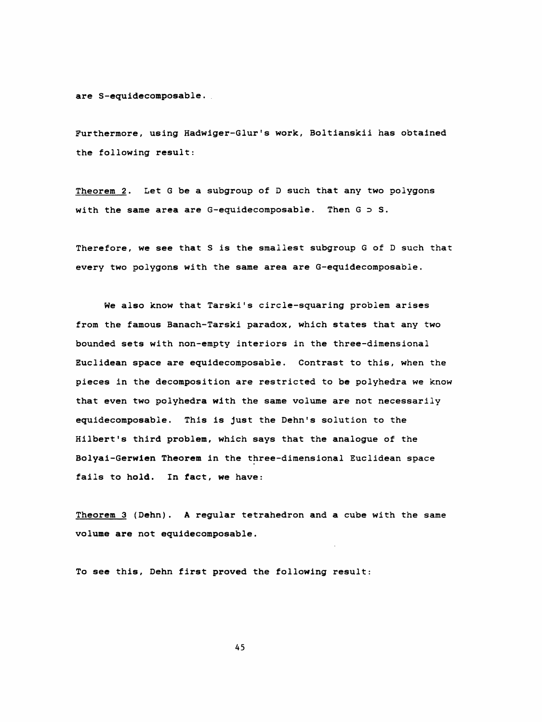are S-equidecomposable .

Furthermore, using Hadwiger-Glur's work, Boltianskii has obtained the following result:

Theorem 2. Let G be a subgroup of D such that any two polygons with the same area are G-equidecomposable. Then  $G \supset S$ .

Therefore, we see that S is the smallest subgroup G of D such that every two polygons with the same area are G-equidecomposable.

We also know that Tarski's circle-squaring problem arises from the famous Banach-Tarski paradox, which states that any two bounded sets with non-empty interiors in the three-dimensional Euclidean space are equidecomposable . Contrast to this, when the pieces in the decomposition are restricted to be polyhedra we know that even two polyhedra with the same volume are not necessarily equidecomposable. This is just the Dehn 's solution to the Hilbert's third problem, which says that the analogue of the Bolyai-Gerwien Theorem in the three-dimensional Euclidean space fails to hold. In fact, we have:

Theorem 3 (Dehn). A regular tetrahedron and a cube with the same volume are not equidecomposable.

To see this, Dehn first proved the following result:

45